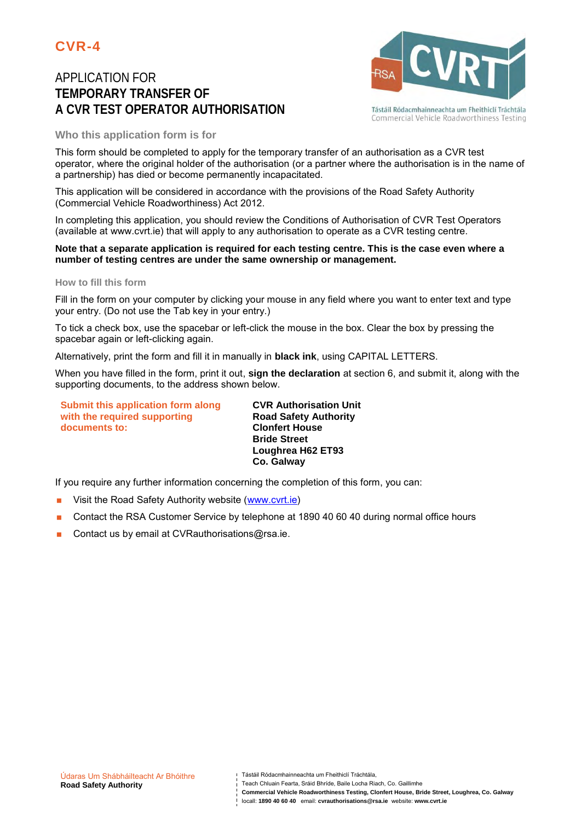# APPLICATION FOR **TEMPORARY TRANSFER OF A CVR TEST OPERATOR AUTHORISATION**



Tástáil Ródacmhainneachta um Fheithiclí Tráchtála Commercial Vehicle Roadworthiness Testing

### **Who this application form is for**

This form should be completed to apply for the temporary transfer of an authorisation as a CVR test operator, where the original holder of the authorisation (or a partner where the authorisation is in the name of a partnership) has died or become permanently incapacitated.

This application will be considered in accordance with the provisions of the Road Safety Authority (Commercial Vehicle Roadworthiness) Act 2012.

In completing this application, you should review the Conditions of Authorisation of CVR Test Operators (available at www.cvrt.ie) that will apply to any authorisation to operate as a CVR testing centre.

#### **Note that a separate application is required for each testing centre. This is the case even where a number of testing centres are under the same ownership or management.**

#### **How to fill this form**

Fill in the form on your computer by clicking your mouse in any field where you want to enter text and type your entry. (Do not use the Tab key in your entry.)

To tick a check box, use the spacebar or left-click the mouse in the box. Clear the box by pressing the spacebar again or left-clicking again.

Alternatively, print the form and fill it in manually in **black ink**, using CAPITAL LETTERS.

When you have filled in the form, print it out, **sign the declaration** at section 6, and submit it, along with the supporting documents, to the address shown below.

**Submit this application form along with the required supporting documents to:**

**CVR Authorisation Unit Road Safety Authority Clonfert House Bride Street Loughrea H62 ET93 Co. Galway**

If you require any further information concerning the completion of this form, you can:

- Visit the Road Safety Authority website (www.cvrt.ie)
- Contact the RSA Customer Service by telephone at 1890 40 60 40 during normal office hours
- Contact us by email at CVRauthorisations@rsa.ie.

- Teach Chluain Fearta, Sráid Bhríde, Baile Locha Riach, Co. Gaillimhe
- **Commercial Vehicle Roadworthiness Testing, Clonfert House, Bride Street, Loughrea, Co. Galway**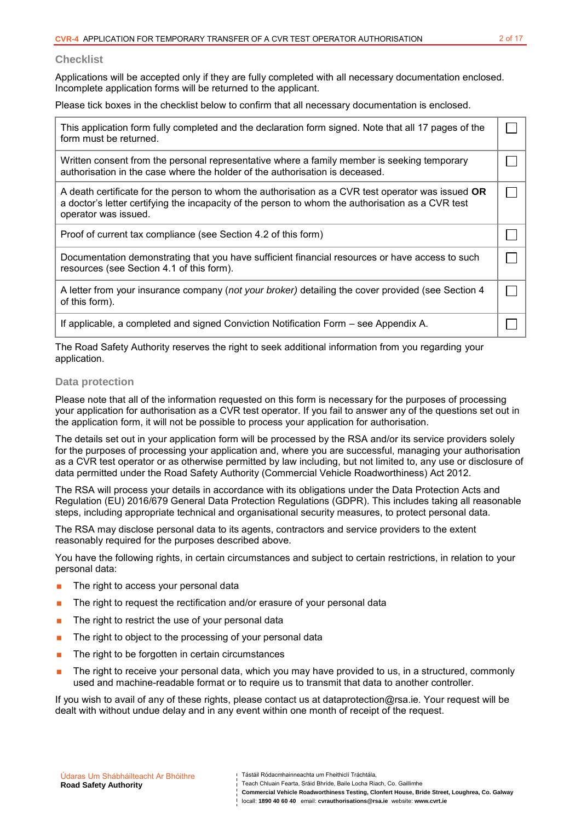#### **Checklist**

Applications will be accepted only if they are fully completed with all necessary documentation enclosed. Incomplete application forms will be returned to the applicant.

Please tick boxes in the checklist below to confirm that all necessary documentation is enclosed.

| This application form fully completed and the declaration form signed. Note that all 17 pages of the<br>form must be returned.                                                                                                 |  |
|--------------------------------------------------------------------------------------------------------------------------------------------------------------------------------------------------------------------------------|--|
| Written consent from the personal representative where a family member is seeking temporary<br>authorisation in the case where the holder of the authorisation is deceased.                                                    |  |
| A death certificate for the person to whom the authorisation as a CVR test operator was issued OR<br>a doctor's letter certifying the incapacity of the person to whom the authorisation as a CVR test<br>operator was issued. |  |
| Proof of current tax compliance (see Section 4.2 of this form)                                                                                                                                                                 |  |
| Documentation demonstrating that you have sufficient financial resources or have access to such<br>resources (see Section 4.1 of this form).                                                                                   |  |
| A letter from your insurance company (not your broker) detailing the cover provided (see Section 4<br>of this form).                                                                                                           |  |
| If applicable, a completed and signed Conviction Notification Form - see Appendix A.                                                                                                                                           |  |

The Road Safety Authority reserves the right to seek additional information from you regarding your application.

#### **Data protection**

Please note that all of the information requested on this form is necessary for the purposes of processing your application for authorisation as a CVR test operator. If you fail to answer any of the questions set out in the application form, it will not be possible to process your application for authorisation.

The details set out in your application form will be processed by the RSA and/or its service providers solely for the purposes of processing your application and, where you are successful, managing your authorisation as a CVR test operator or as otherwise permitted by law including, but not limited to, any use or disclosure of data permitted under the Road Safety Authority (Commercial Vehicle Roadworthiness) Act 2012.

The RSA will process your details in accordance with its obligations under the Data Protection Acts and Regulation (EU) 2016/679 General Data Protection Regulations (GDPR). This includes taking all reasonable steps, including appropriate technical and organisational security measures, to protect personal data.

The RSA may disclose personal data to its agents, contractors and service providers to the extent reasonably required for the purposes described above.

You have the following rights, in certain circumstances and subject to certain restrictions, in relation to your personal data:

- **The right to access your personal data**
- The right to request the rectification and/or erasure of your personal data
- **The right to restrict the use of your personal data**
- $\blacksquare$  The right to object to the processing of your personal data
- The right to be forgotten in certain circumstances
- The right to receive your personal data, which you may have provided to us, in a structured, commonly used and machine-readable format or to require us to transmit that data to another controller.

If you wish to avail of any of these rights, please contact us at dataprotection@rsa.ie. Your request will be dealt with without undue delay and in any event within one month of receipt of the request.

**Commercial Vehicle Roadworthiness Testing, Clonfert House, Bride Street, Loughrea, Co. Galway** locall: **1890 40 60 40** email: **cvrauthorisations@rsa.ie** website: **www.cvrt.ie**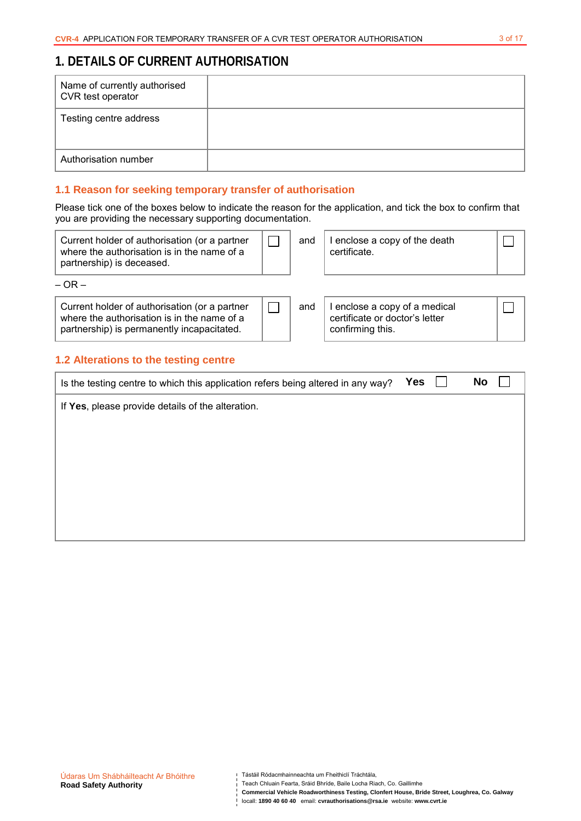$\Box$ 

# **1. DETAILS OF CURRENT AUTHORISATION**

| Name of currently authorised<br>CVR test operator |  |
|---------------------------------------------------|--|
| Testing centre address                            |  |
| Authorisation number                              |  |

## **1.1 Reason for seeking temporary transfer of authorisation**

Please tick one of the boxes below to indicate the reason for the application, and tick the box to confirm that you are providing the necessary supporting documentation.

| Current holder of authorisation (or a partner<br>where the authorisation is in the name of a<br>partnership) is deceased. | and | enclose a copy of the death<br>certificate. |  |
|---------------------------------------------------------------------------------------------------------------------------|-----|---------------------------------------------|--|
| <u>_</u>                                                                                                                  |     |                                             |  |

 $\Box$ 

 $-$  OR  $-$ 

Current holder of authorisation (or a partner where the authorisation is in the name of a partnership) is permanently incapacitated.

| and   I enclose a copy of a medical |
|-------------------------------------|
| certificate or doctor's letter      |
| confirming this.                    |

## **1.2 Alterations to the testing centre**

| Is the testing centre to which this application refers being altered in any way? | Yes | No |
|----------------------------------------------------------------------------------|-----|----|
| If Yes, please provide details of the alteration.                                |     |    |
|                                                                                  |     |    |
|                                                                                  |     |    |
|                                                                                  |     |    |
|                                                                                  |     |    |
|                                                                                  |     |    |

- Teach Chluain Fearta, Sráid Bhríde, Baile Locha Riach, Co. Gaillimhe
- **Commercial Vehicle Roadworthiness Testing, Clonfert House, Bride Street, Loughrea, Co. Galway**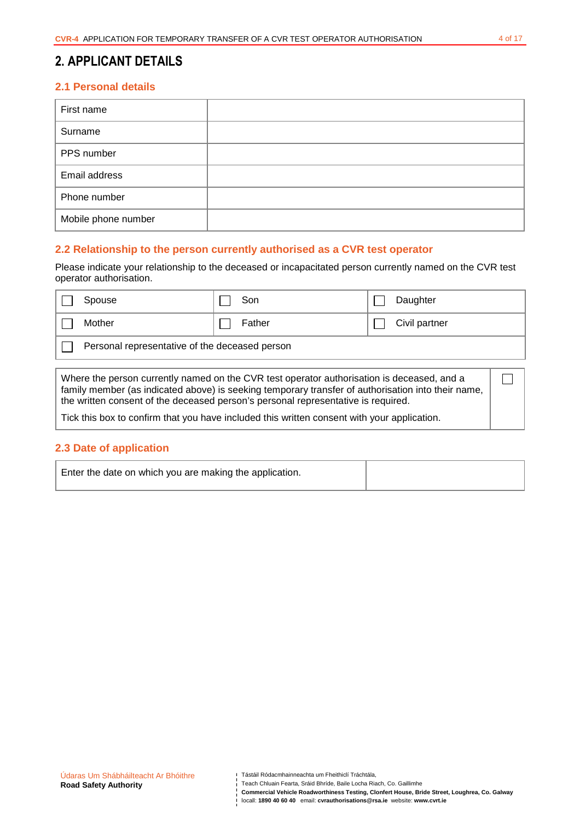## **2. APPLICANT DETAILS**

## **2.1 Personal details**

| First name          |  |
|---------------------|--|
| Surname             |  |
| PPS number          |  |
| Email address       |  |
| Phone number        |  |
| Mobile phone number |  |

### **2.2 Relationship to the person currently authorised as a CVR test operator**

Please indicate your relationship to the deceased or incapacitated person currently named on the CVR test operator authorisation.

| Spouse                                         | Son    | Daughter      |
|------------------------------------------------|--------|---------------|
| Mother                                         | Father | Civil partner |
| Personal representative of the deceased person |        |               |
|                                                |        |               |

Where the person currently named on the CVR test operator authorisation is deceased, and a family member (as indicated above) is seeking temporary transfer of authorisation into their name, the written consent of the deceased person's personal representative is required.

Tick this box to confirm that you have included this written consent with your application.

#### **2.3 Date of application**

| Enter the date on which you are making the application. |  |
|---------------------------------------------------------|--|
|---------------------------------------------------------|--|

Teach Chluain Fearta, Sráid Bhríde, Baile Locha Riach, Co. Gaillimhe

**Commercial Vehicle Roadworthiness Testing, Clonfert House, Bride Street, Loughrea, Co. Galway**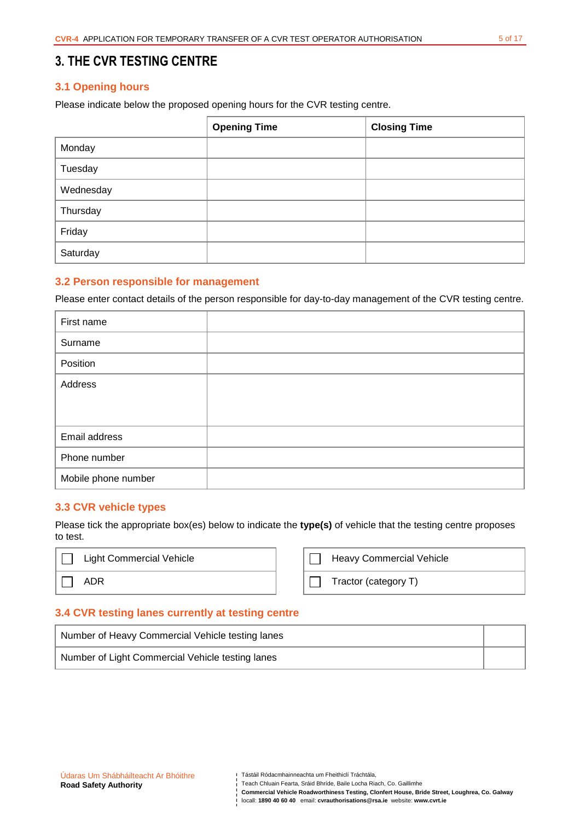## **3. THE CVR TESTING CENTRE**

### **3.1 Opening hours**

Please indicate below the proposed opening hours for the CVR testing centre.

|           | <b>Opening Time</b> | <b>Closing Time</b> |
|-----------|---------------------|---------------------|
| Monday    |                     |                     |
| Tuesday   |                     |                     |
| Wednesday |                     |                     |
| Thursday  |                     |                     |
| Friday    |                     |                     |
| Saturday  |                     |                     |

#### **3.2 Person responsible for management**

Please enter contact details of the person responsible for day-to-day management of the CVR testing centre.

| First name          |  |
|---------------------|--|
| Surname             |  |
| Position            |  |
| Address             |  |
|                     |  |
|                     |  |
| Email address       |  |
| Phone number        |  |
| Mobile phone number |  |

#### **3.3 CVR vehicle types**

Please tick the appropriate box(es) below to indicate the **type(s)** of vehicle that the testing centre proposes to test.

| <b>Light Commercial Vehicle</b> | <b>Heavy Commercial Vehicle</b> |
|---------------------------------|---------------------------------|
| ADR                             | Tractor (category T)            |

#### **3.4 CVR testing lanes currently at testing centre**

| Number of Heavy Commercial Vehicle testing lanes |  |
|--------------------------------------------------|--|
| Number of Light Commercial Vehicle testing lanes |  |

**Commercial Vehicle Roadworthiness Testing, Clonfert House, Bride Street, Loughrea, Co. Galway**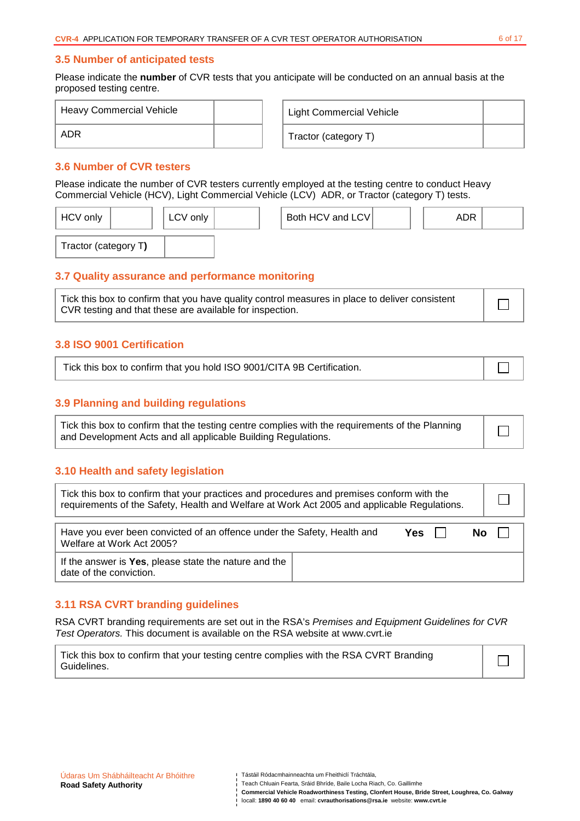#### **3.5 Number of anticipated tests**

Please indicate the **number** of CVR tests that you anticipate will be conducted on an annual basis at the proposed testing centre.

| <b>Heavy Commercial Vehicle</b> |  | Light Commercial Vehicle |  |
|---------------------------------|--|--------------------------|--|
| ADR                             |  | Tractor (category T)     |  |

## **3.6 Number of CVR testers**

Please indicate the number of CVR testers currently employed at the testing centre to conduct Heavy Commercial Vehicle (HCV), Light Commercial Vehicle (LCV) ADR, or Tractor (category T) tests.

| <b>HCV</b> only      | LCV only | Both HCV and LCV | ADR |  |
|----------------------|----------|------------------|-----|--|
| Tractor (category T) |          |                  |     |  |

### **3.7 Quality assurance and performance monitoring**

Tick this box to confirm that you have quality control measures in place to deliver consistent CVR testing and that these are available for inspection.

### **3.8 ISO 9001 Certification**

| Tick this box to confirm that you hold ISO 9001/CITA 9B Certification. |  |
|------------------------------------------------------------------------|--|
|------------------------------------------------------------------------|--|

### **3.9 Planning and building regulations**

Tick this box to confirm that the testing centre complies with the requirements of the Planning and Development Acts and all applicable Building Regulations.

#### **3.10 Health and safety legislation**

| Tick this box to confirm that your practices and procedures and premises conform with the<br>requirements of the Safety, Health and Welfare at Work Act 2005 and applicable Regulations. |       |  |      |  |
|------------------------------------------------------------------------------------------------------------------------------------------------------------------------------------------|-------|--|------|--|
| Have you ever been convicted of an offence under the Safety, Health and<br>Welfare at Work Act 2005?                                                                                     | Yes l |  | No l |  |
| If the answer is Yes, please state the nature and the<br>date of the conviction.                                                                                                         |       |  |      |  |

#### **3.11 RSA CVRT branding guidelines**

RSA CVRT branding requirements are set out in the RSA's Premises and Equipment Guidelines for CVR Test Operators. This document is available on the RSA website at www.cvrt.ie

Tick this box to confirm that your testing centre complies with the RSA CVRT Branding Guidelines.

- Teach Chluain Fearta, Sráid Bhríde, Baile Locha Riach, Co. Gaillimhe
- **Commercial Vehicle Roadworthiness Testing, Clonfert House, Bride Street, Loughrea, Co. Galway**  locall: **1890 40 60 40** email: **cvrauthorisations@rsa.ie** website: **www.cvrt.ie**

 $\Box$ 

┐

 $\perp$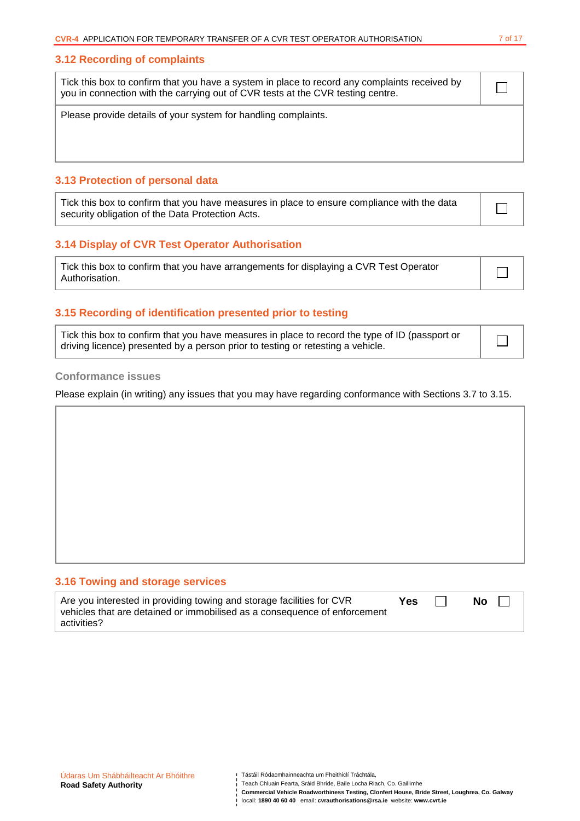#### **3.12 Recording of complaints**

| Tick this box to confirm that you have a system in place to record any complaints received by<br>you in connection with the carrying out of CVR tests at the CVR testing centre. |  |
|----------------------------------------------------------------------------------------------------------------------------------------------------------------------------------|--|
| Please provide details of your system for handling complaints.                                                                                                                   |  |

#### **3.13 Protection of personal data**

| Tick this box to confirm that you have measures in place to ensure compliance with the data |  |
|---------------------------------------------------------------------------------------------|--|
| security obligation of the Data Protection Acts.                                            |  |

## **3.14 Display of CVR Test Operator Authorisation**

### **3.15 Recording of identification presented prior to testing**

| Tick this box to confirm that you have measures in place to record the type of ID (passport or | $\overline{\phantom{0}}$ |
|------------------------------------------------------------------------------------------------|--------------------------|
| driving licence) presented by a person prior to testing or retesting a vehicle.                |                          |

#### **Conformance issues**

Please explain (in writing) any issues that you may have regarding conformance with Sections 3.7 to 3.15.

### **3.16 Towing and storage services**

| Are you interested in providing towing and storage facilities for CVR            | <b>Yes</b> | <b>No</b> |
|----------------------------------------------------------------------------------|------------|-----------|
| $\mid$ vehicles that are detained or immobilised as a consequence of enforcement |            |           |
| activities?                                                                      |            |           |

| Tástáil Ródacmhainneachta um Fheithiclí Tráchtála, |  |
|----------------------------------------------------|--|
|----------------------------------------------------|--|

- Teach Chluain Fearta, Sráid Bhríde, Baile Locha Riach, Co. Gaillimhe
- **Commercial Vehicle Roadworthiness Testing, Clonfert House, Bride Street, Loughrea, Co. Galway**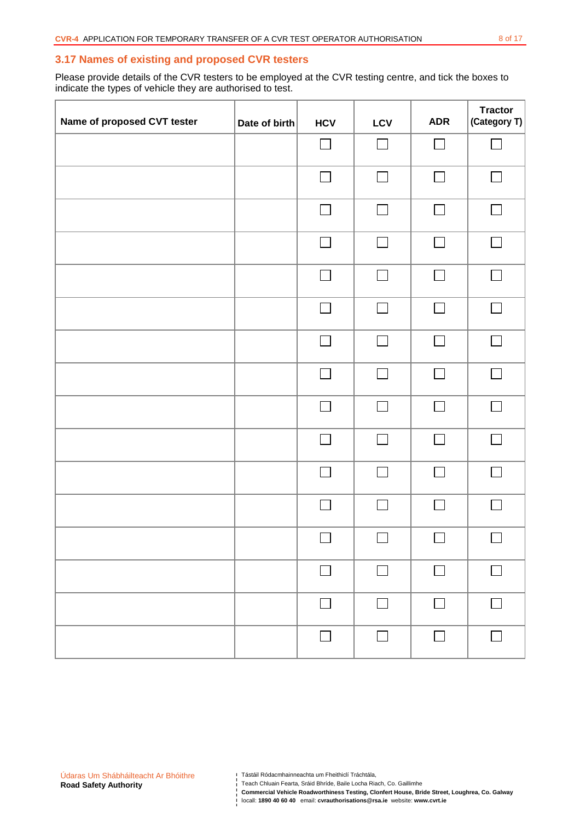#### **3.17 Names of existing and proposed CVR testers**

Please provide details of the CVR testers to be employed at the CVR testing centre, and tick the boxes to indicate the types of vehicle they are authorised to test.

| Name of proposed CVT tester | Date of birth | <b>HCV</b>     | LCV    | <b>ADR</b>     | <b>Tractor</b><br>(Category T) |
|-----------------------------|---------------|----------------|--------|----------------|--------------------------------|
|                             |               | $\Box$         | $\Box$ | $\Box$         | $\Box$                         |
|                             |               | $\Box$         | $\Box$ | $\Box$         | $\Box$                         |
|                             |               |                | $\Box$ | $\Box$         | $\Box$                         |
|                             |               |                | $\Box$ | $\blacksquare$ | $\Box$                         |
|                             |               |                | $\Box$ |                | $\Box$                         |
|                             |               | $\Box$         | П      | $\Box$         | П                              |
|                             |               | $\Box$         | $\Box$ | $\Box$         | П                              |
|                             |               | П              | $\Box$ | $\Box$         | $\Box$                         |
|                             |               | $\blacksquare$ | П      | $\blacksquare$ | $\Box$                         |
|                             |               | $\Box$         | $\Box$ | $\Box$         | $\Box$                         |
|                             |               | П              | $\Box$ | $\mathsf{I}$   | $\Box$                         |
|                             |               | $\Box$         | П      | П              | $\Box$                         |
|                             |               | $\Box$         | $\Box$ | $\Box$         | $\Box$                         |
|                             |               | $\Box$         | П      | $\Box$         | $\Box$                         |
|                             |               | П              | $\Box$ | $\Box$         | $\Box$                         |
|                             |               | П              | П      | П              | $\Box$                         |

Teach Chluain Fearta, Sráid Bhríde, Baile Locha Riach, Co. Gaillimhe

Tástáil Ródacmhainneachta um Fheithiclí Tráchtála,

**Commercial Vehicle Roadworthiness Testing, Clonfert House, Bride Street, Loughrea, Co. Galway**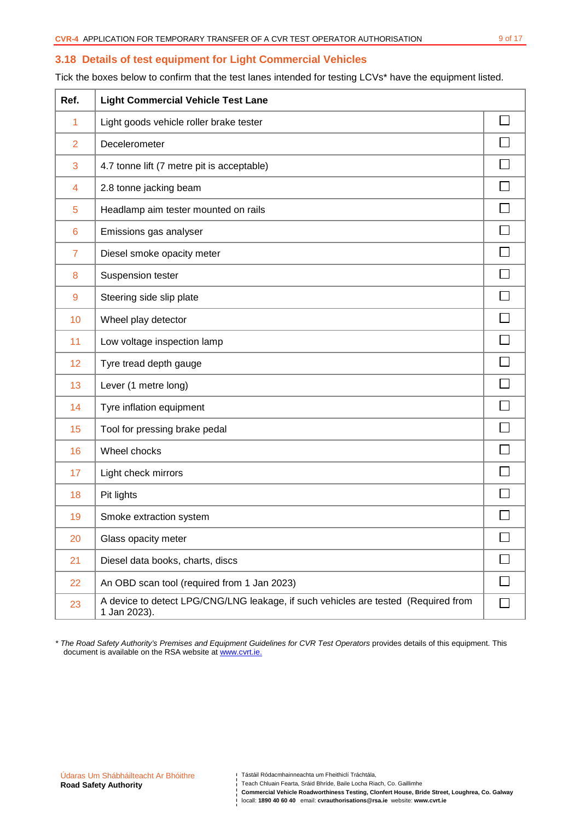## **3.18 Details of test equipment for Light Commercial Vehicles**

Tick the boxes below to confirm that the test lanes intended for testing LCVs\* have the equipment listed.

| Ref.                    | <b>Light Commercial Vehicle Test Lane</b>                                                          |  |
|-------------------------|----------------------------------------------------------------------------------------------------|--|
| 1                       | Light goods vehicle roller brake tester                                                            |  |
| $\overline{2}$          | Decelerometer                                                                                      |  |
| 3                       | 4.7 tonne lift (7 metre pit is acceptable)                                                         |  |
| $\overline{\mathbf{4}}$ | 2.8 tonne jacking beam                                                                             |  |
| 5                       | Headlamp aim tester mounted on rails                                                               |  |
| 6                       | Emissions gas analyser                                                                             |  |
| $\overline{7}$          | Diesel smoke opacity meter                                                                         |  |
| 8                       | Suspension tester                                                                                  |  |
| 9                       | Steering side slip plate                                                                           |  |
| 10                      | Wheel play detector                                                                                |  |
| 11                      | Low voltage inspection lamp                                                                        |  |
| 12                      | Tyre tread depth gauge                                                                             |  |
| 13                      | Lever (1 metre long)                                                                               |  |
| 14                      | Tyre inflation equipment                                                                           |  |
| 15                      | Tool for pressing brake pedal                                                                      |  |
| 16                      | Wheel chocks                                                                                       |  |
| 17                      | Light check mirrors                                                                                |  |
| 18                      | Pit lights                                                                                         |  |
| 19                      | Smoke extraction system                                                                            |  |
| 20                      | Glass opacity meter                                                                                |  |
| 21                      | Diesel data books, charts, discs                                                                   |  |
| 22                      | An OBD scan tool (required from 1 Jan 2023)                                                        |  |
| 23                      | A device to detect LPG/CNG/LNG leakage, if such vehicles are tested (Required from<br>1 Jan 2023). |  |

\* The Road Safety Authority's Premises and Equipment Guidelines for CVR Test Operators provides details of this equipment. This document is available on the RSA website at www.cvrt.ie.

Tástáil Ródacmhainneachta um Fheithiclí Tráchtála,

**Commercial Vehicle Roadworthiness Testing, Clonfert House, Bride Street, Loughrea, Co. Galway**  locall: **1890 40 60 40** email: **cvrauthorisations@rsa.ie** website: **www.cvrt.ie**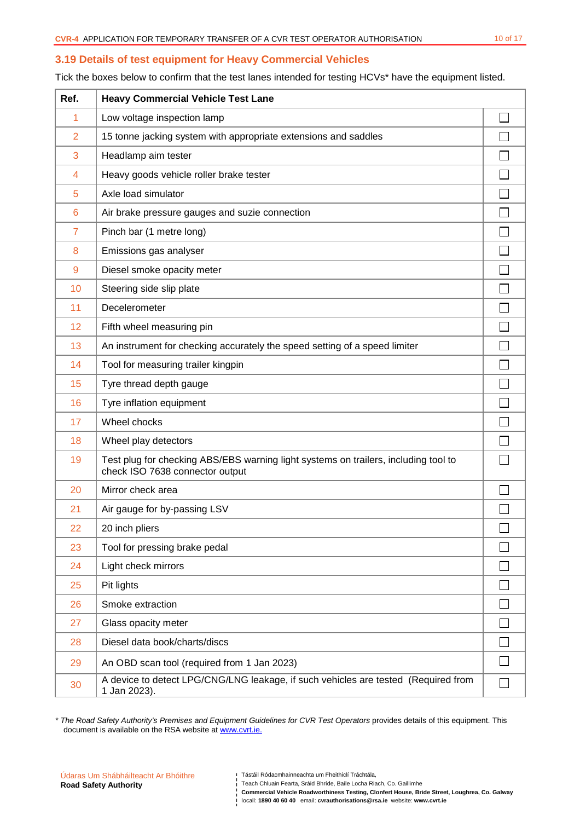#### **3.19 Details of test equipment for Heavy Commercial Vehicles**

Tick the boxes below to confirm that the test lanes intended for testing HCVs\* have the equipment listed.

| Ref.           | <b>Heavy Commercial Vehicle Test Lane</b>                                                                              |              |
|----------------|------------------------------------------------------------------------------------------------------------------------|--------------|
| 1              | Low voltage inspection lamp                                                                                            |              |
| $\overline{2}$ | 15 tonne jacking system with appropriate extensions and saddles                                                        |              |
| 3              | Headlamp aim tester                                                                                                    |              |
| 4              | Heavy goods vehicle roller brake tester                                                                                |              |
| 5              | Axle load simulator                                                                                                    |              |
| 6              | Air brake pressure gauges and suzie connection                                                                         |              |
| $\overline{7}$ | Pinch bar (1 metre long)                                                                                               |              |
| 8              | Emissions gas analyser                                                                                                 |              |
| $\overline{9}$ | Diesel smoke opacity meter                                                                                             |              |
| 10             | Steering side slip plate                                                                                               |              |
| 11             | Decelerometer                                                                                                          |              |
| 12             | Fifth wheel measuring pin                                                                                              |              |
| 13             | An instrument for checking accurately the speed setting of a speed limiter                                             |              |
| 14             | Tool for measuring trailer kingpin                                                                                     |              |
| 15             | Tyre thread depth gauge                                                                                                |              |
| 16             | Tyre inflation equipment                                                                                               |              |
| 17             | Wheel chocks                                                                                                           |              |
| 18             | Wheel play detectors                                                                                                   |              |
| 19             | Test plug for checking ABS/EBS warning light systems on trailers, including tool to<br>check ISO 7638 connector output |              |
| 20             | Mirror check area                                                                                                      |              |
| 21             | Air gauge for by-passing LSV                                                                                           |              |
| 22             | 20 inch pliers                                                                                                         | $\mathbf{r}$ |
| 23             | Tool for pressing brake pedal                                                                                          |              |
| 24             | Light check mirrors                                                                                                    |              |
| 25             | Pit lights                                                                                                             |              |
| 26             | Smoke extraction                                                                                                       |              |
| 27             | Glass opacity meter                                                                                                    |              |
| 28             | Diesel data book/charts/discs                                                                                          |              |
| 29             | An OBD scan tool (required from 1 Jan 2023)                                                                            |              |
| 30             | A device to detect LPG/CNG/LNG leakage, if such vehicles are tested (Required from<br>1 Jan 2023).                     |              |

\* The Road Safety Authority's Premises and Equipment Guidelines for CVR Test Operators provides details of this equipment. This document is available on the RSA website at www.cvrt.ie.

- Teach Chluain Fearta, Sráid Bhríde, Baile Locha Riach, Co. Gaillimhe
- **Commercial Vehicle Roadworthiness Testing, Clonfert House, Bride Street, Loughrea, Co. Galway**  locall: **1890 40 60 40** email: **cvrauthorisations@rsa.ie** website: **www.cvrt.ie**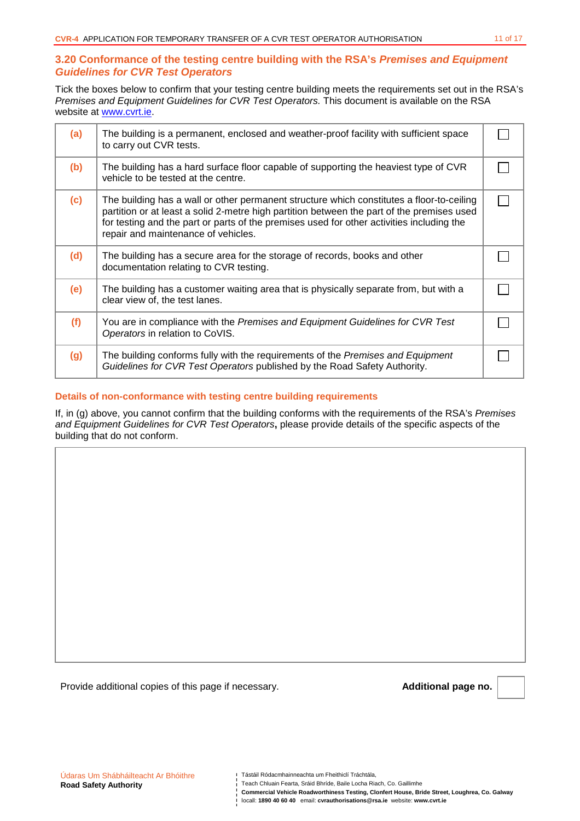### **3.20 Conformance of the testing centre building with the RSA's Premises and Equipment Guidelines for CVR Test Operators**

Tick the boxes below to confirm that your testing centre building meets the requirements set out in the RSA's Premises and Equipment Guidelines for CVR Test Operators. This document is available on the RSA website at www.cvrt.ie.

| (a) | The building is a permanent, enclosed and weather-proof facility with sufficient space<br>to carry out CVR tests.                                                                                                                                                                                                           |  |
|-----|-----------------------------------------------------------------------------------------------------------------------------------------------------------------------------------------------------------------------------------------------------------------------------------------------------------------------------|--|
| (b) | The building has a hard surface floor capable of supporting the heaviest type of CVR<br>vehicle to be tested at the centre.                                                                                                                                                                                                 |  |
| (c) | The building has a wall or other permanent structure which constitutes a floor-to-ceiling<br>partition or at least a solid 2-metre high partition between the part of the premises used<br>for testing and the part or parts of the premises used for other activities including the<br>repair and maintenance of vehicles. |  |
| (d) | The building has a secure area for the storage of records, books and other<br>documentation relating to CVR testing.                                                                                                                                                                                                        |  |
| (e) | The building has a customer waiting area that is physically separate from, but with a<br>clear view of, the test lanes.                                                                                                                                                                                                     |  |
| (f) | You are in compliance with the Premises and Equipment Guidelines for CVR Test<br>Operators in relation to CoVIS.                                                                                                                                                                                                            |  |
| (g) | The building conforms fully with the requirements of the Premises and Equipment<br>Guidelines for CVR Test Operators published by the Road Safety Authority.                                                                                                                                                                |  |

#### **Details of non-conformance with testing centre building requirements**

If, in (g) above, you cannot confirm that the building conforms with the requirements of the RSA's Premises and Equipment Guidelines for CVR Test Operators**,** please provide details of the specific aspects of the building that do not conform.

Provide additional copies of this page if necessary. **Additional page no. Additional page no.** 

- Teach Chluain Fearta, Sráid Bhríde, Baile Locha Riach, Co. Gaillimhe
- **Commercial Vehicle Roadworthiness Testing, Clonfert House, Bride Street, Loughrea, Co. Galway**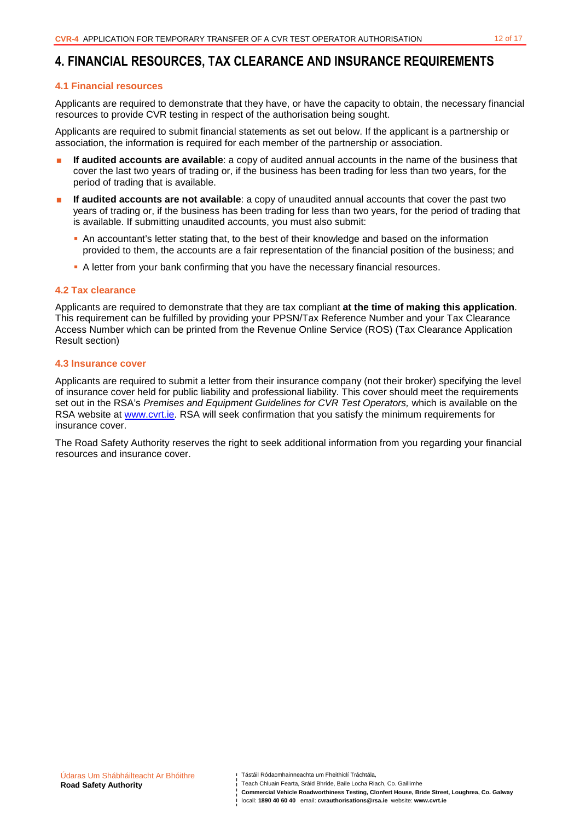## **4. FINANCIAL RESOURCES, TAX CLEARANCE AND INSURANCE REQUIREMENTS**

#### **4.1 Financial resources**

Applicants are required to demonstrate that they have, or have the capacity to obtain, the necessary financial resources to provide CVR testing in respect of the authorisation being sought.

Applicants are required to submit financial statements as set out below. If the applicant is a partnership or association, the information is required for each member of the partnership or association.

- **If audited accounts are available**: a copy of audited annual accounts in the name of the business that cover the last two years of trading or, if the business has been trading for less than two years, for the period of trading that is available.
- **If audited accounts are not available**: a copy of unaudited annual accounts that cover the past two years of trading or, if the business has been trading for less than two years, for the period of trading that is available. If submitting unaudited accounts, you must also submit:
	- An accountant's letter stating that, to the best of their knowledge and based on the information provided to them, the accounts are a fair representation of the financial position of the business; and
	- A letter from your bank confirming that you have the necessary financial resources.

#### **4.2 Tax clearance**

Applicants are required to demonstrate that they are tax compliant **at the time of making this application**. This requirement can be fulfilled by providing your PPSN/Tax Reference Number and your Tax Clearance Access Number which can be printed from the Revenue Online Service (ROS) (Tax Clearance Application Result section)

#### **4.3 Insurance cover**

Applicants are required to submit a letter from their insurance company (not their broker) specifying the level of insurance cover held for public liability and professional liability. This cover should meet the requirements set out in the RSA's Premises and Equipment Guidelines for CVR Test Operators, which is available on the RSA website at www.cvrt.ie. RSA will seek confirmation that you satisfy the minimum requirements for insurance cover.

The Road Safety Authority reserves the right to seek additional information from you regarding your financial resources and insurance cover.

**Commercial Vehicle Roadworthiness Testing, Clonfert House, Bride Street, Loughrea, Co. Galway**  locall: **1890 40 60 40** email: **cvrauthorisations@rsa.ie** website: **www.cvrt.ie**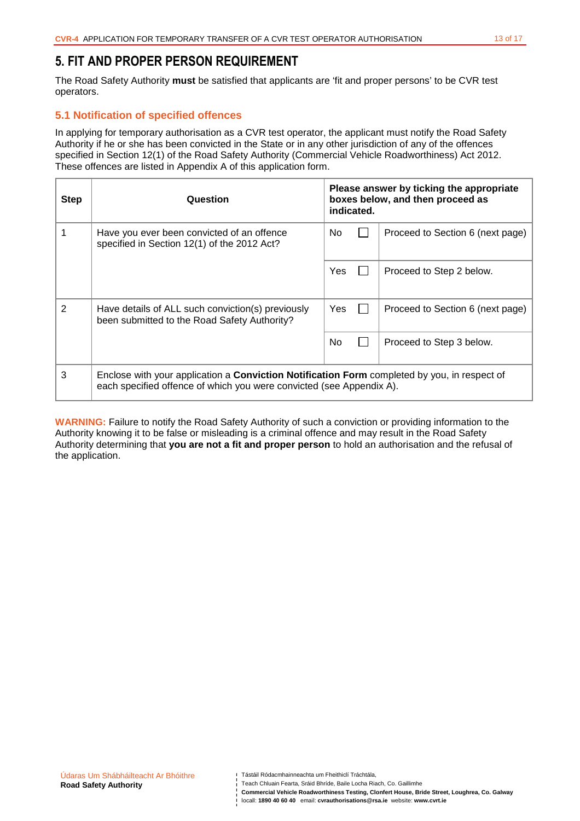## **5. FIT AND PROPER PERSON REQUIREMENT**

The Road Safety Authority **must** be satisfied that applicants are 'fit and proper persons' to be CVR test operators.

## **5.1 Notification of specified offences**

In applying for temporary authorisation as a CVR test operator, the applicant must notify the Road Safety Authority if he or she has been convicted in the State or in any other jurisdiction of any of the offences specified in Section 12(1) of the Road Safety Authority (Commercial Vehicle Roadworthiness) Act 2012. These offences are listed in Appendix A of this application form.

| <b>Step</b>    | Question                                                                                                                                                                    | Please answer by ticking the appropriate<br>boxes below, and then proceed as<br>indicated. |  |                                  |
|----------------|-----------------------------------------------------------------------------------------------------------------------------------------------------------------------------|--------------------------------------------------------------------------------------------|--|----------------------------------|
|                | Have you ever been convicted of an offence<br>specified in Section 12(1) of the 2012 Act?                                                                                   | No.                                                                                        |  | Proceed to Section 6 (next page) |
|                |                                                                                                                                                                             | Yes                                                                                        |  | Proceed to Step 2 below.         |
| $\overline{2}$ | Have details of ALL such conviction(s) previously<br>been submitted to the Road Safety Authority?                                                                           | Yes                                                                                        |  | Proceed to Section 6 (next page) |
|                |                                                                                                                                                                             | No.                                                                                        |  | Proceed to Step 3 below.         |
| 3              | Enclose with your application a <b>Conviction Notification Form</b> completed by you, in respect of<br>each specified offence of which you were convicted (see Appendix A). |                                                                                            |  |                                  |

**WARNING:** Failure to notify the Road Safety Authority of such a conviction or providing information to the Authority knowing it to be false or misleading is a criminal offence and may result in the Road Safety Authority determining that **you are not a fit and proper person** to hold an authorisation and the refusal of the application.

**Commercial Vehicle Roadworthiness Testing, Clonfert House, Bride Street, Loughrea, Co. Galway**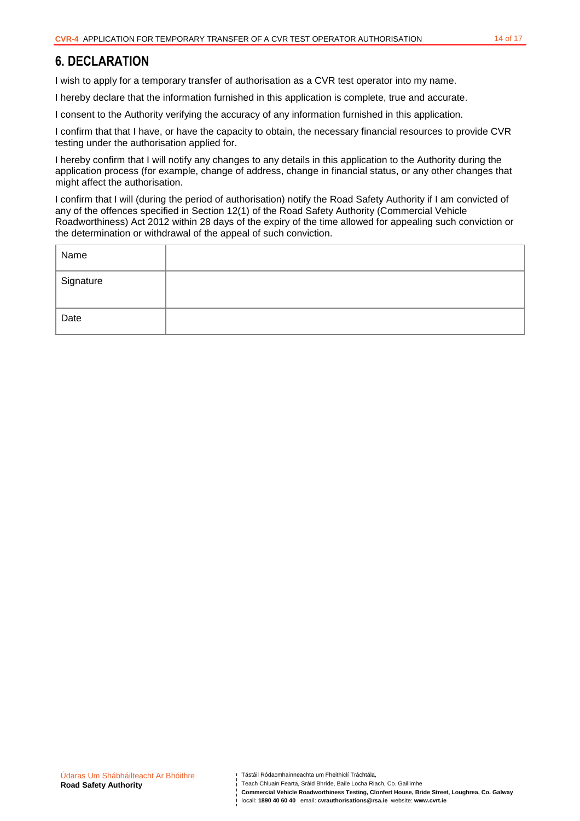## **6. DECLARATION**

I wish to apply for a temporary transfer of authorisation as a CVR test operator into my name.

I hereby declare that the information furnished in this application is complete, true and accurate.

I consent to the Authority verifying the accuracy of any information furnished in this application.

I confirm that that I have, or have the capacity to obtain, the necessary financial resources to provide CVR testing under the authorisation applied for.

I hereby confirm that I will notify any changes to any details in this application to the Authority during the application process (for example, change of address, change in financial status, or any other changes that might affect the authorisation.

I confirm that I will (during the period of authorisation) notify the Road Safety Authority if I am convicted of any of the offences specified in Section 12(1) of the Road Safety Authority (Commercial Vehicle Roadworthiness) Act 2012 within 28 days of the expiry of the time allowed for appealing such conviction or the determination or withdrawal of the appeal of such conviction.

| Name      |  |
|-----------|--|
| Signature |  |
| Date      |  |

Teach Chluain Fearta, Sráid Bhríde, Baile Locha Riach, Co. Gaillimhe

**Commercial Vehicle Roadworthiness Testing, Clonfert House, Bride Street, Loughrea, Co. Galway**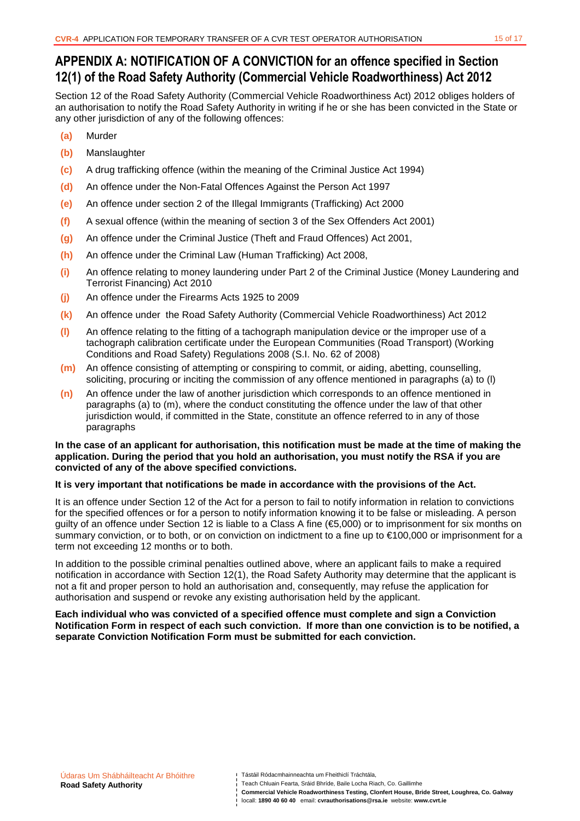# **APPENDIX A: NOTIFICATION OF A CONVICTION for an offence specified in Section 12(1) of the Road Safety Authority (Commercial Vehicle Roadworthiness) Act 2012**

Section 12 of the Road Safety Authority (Commercial Vehicle Roadworthiness Act) 2012 obliges holders of an authorisation to notify the Road Safety Authority in writing if he or she has been convicted in the State or any other jurisdiction of any of the following offences:

- **(a)** Murder
- **(b)** Manslaughter
- **(c)** A drug trafficking offence (within the meaning of the Criminal Justice Act 1994)
- **(d)** An offence under the Non-Fatal Offences Against the Person Act 1997
- **(e)** An offence under section 2 of the Illegal Immigrants (Trafficking) Act 2000
- **(f)** A sexual offence (within the meaning of section 3 of the Sex Offenders Act 2001)
- **(g)** An offence under the Criminal Justice (Theft and Fraud Offences) Act 2001,
- **(h)** An offence under the Criminal Law (Human Trafficking) Act 2008,
- **(i)** An offence relating to money laundering under Part 2 of the Criminal Justice (Money Laundering and Terrorist Financing) Act 2010
- **(j)** An offence under the Firearms Acts 1925 to 2009
- **(k)** An offence under the Road Safety Authority (Commercial Vehicle Roadworthiness) Act 2012
- **(l)** An offence relating to the fitting of a tachograph manipulation device or the improper use of a tachograph calibration certificate under the European Communities (Road Transport) (Working Conditions and Road Safety) Regulations 2008 (S.I. No. 62 of 2008)
- **(m)** An offence consisting of attempting or conspiring to commit, or aiding, abetting, counselling, soliciting, procuring or inciting the commission of any offence mentioned in paragraphs (a) to (l)
- **(n)** An offence under the law of another jurisdiction which corresponds to an offence mentioned in paragraphs (a) to (m), where the conduct constituting the offence under the law of that other jurisdiction would, if committed in the State, constitute an offence referred to in any of those paragraphs

#### **In the case of an applicant for authorisation, this notification must be made at the time of making the application. During the period that you hold an authorisation, you must notify the RSA if you are convicted of any of the above specified convictions.**

#### **It is very important that notifications be made in accordance with the provisions of the Act.**

It is an offence under Section 12 of the Act for a person to fail to notify information in relation to convictions for the specified offences or for a person to notify information knowing it to be false or misleading. A person guilty of an offence under Section 12 is liable to a Class A fine (€5,000) or to imprisonment for six months on summary conviction, or to both, or on conviction on indictment to a fine up to €100,000 or imprisonment for a term not exceeding 12 months or to both.

In addition to the possible criminal penalties outlined above, where an applicant fails to make a required notification in accordance with Section 12(1), the Road Safety Authority may determine that the applicant is not a fit and proper person to hold an authorisation and, consequently, may refuse the application for authorisation and suspend or revoke any existing authorisation held by the applicant.

#### **Each individual who was convicted of a specified offence must complete and sign a Conviction Notification Form in respect of each such conviction. If more than one conviction is to be notified, a separate Conviction Notification Form must be submitted for each conviction.**

**Commercial Vehicle Roadworthiness Testing, Clonfert House, Bride Street, Loughrea, Co. Galway**  locall: **1890 40 60 40** email: **cvrauthorisations@rsa.ie** website: **www.cvrt.ie**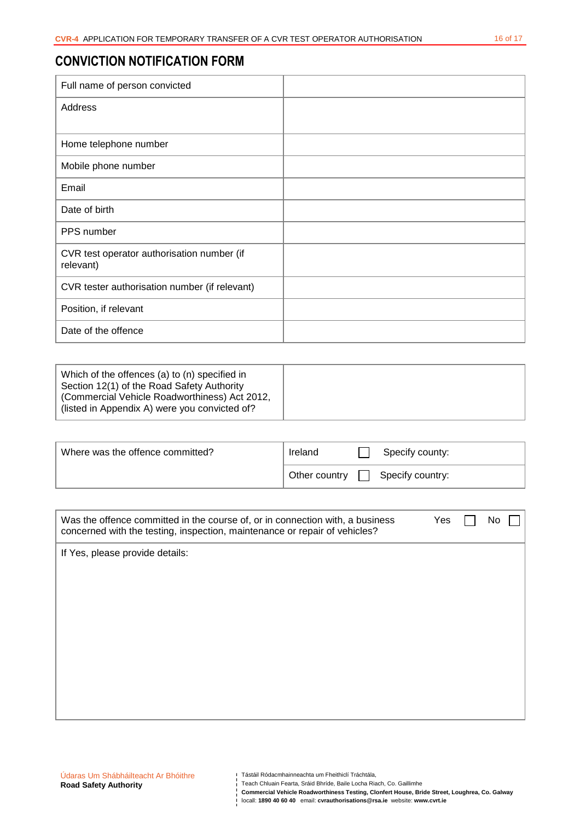# **CONVICTION NOTIFICATION FORM**

| Full name of person convicted                           |  |
|---------------------------------------------------------|--|
| Address                                                 |  |
|                                                         |  |
| Home telephone number                                   |  |
| Mobile phone number                                     |  |
| Email                                                   |  |
| Date of birth                                           |  |
| PPS number                                              |  |
| CVR test operator authorisation number (if<br>relevant) |  |
| CVR tester authorisation number (if relevant)           |  |
| Position, if relevant                                   |  |
| Date of the offence                                     |  |

| Which of the offences (a) to (n) specified in<br>Section 12(1) of the Road Safety Authority<br>(Commercial Vehicle Roadworthiness) Act 2012,<br>(listed in Appendix A) were you convicted of? |  |
|-----------------------------------------------------------------------------------------------------------------------------------------------------------------------------------------------|--|
|-----------------------------------------------------------------------------------------------------------------------------------------------------------------------------------------------|--|

| Where was the offence committed? | Ireland       | Specify county:  |
|----------------------------------|---------------|------------------|
|                                  | Other country | Specify country: |

| Was the offence committed in the course of, or in connection with, a business<br>concerned with the testing, inspection, maintenance or repair of vehicles? | Yes | No. |  |
|-------------------------------------------------------------------------------------------------------------------------------------------------------------|-----|-----|--|
| If Yes, please provide details:                                                                                                                             |     |     |  |
|                                                                                                                                                             |     |     |  |
|                                                                                                                                                             |     |     |  |
|                                                                                                                                                             |     |     |  |
|                                                                                                                                                             |     |     |  |
|                                                                                                                                                             |     |     |  |
|                                                                                                                                                             |     |     |  |

Teach Chluain Fearta, Sráid Bhríde, Baile Locha Riach, Co. Gaillimhe

**Commercial Vehicle Roadworthiness Testing, Clonfert House, Bride Street, Loughrea, Co. Galway**